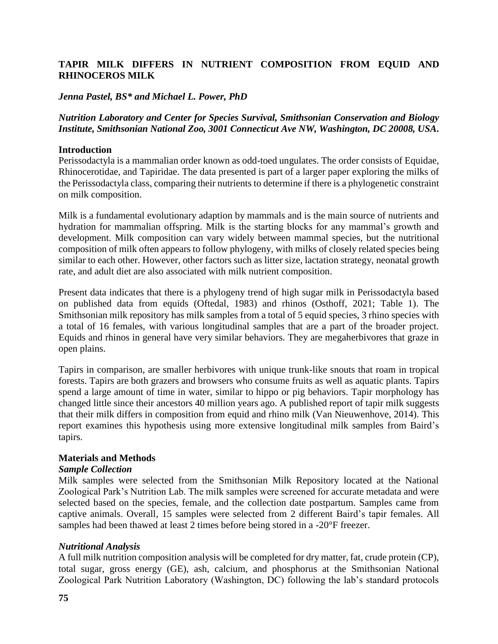# **TAPIR MILK DIFFERS IN NUTRIENT COMPOSITION FROM EQUID AND RHINOCEROS MILK**

### *Jenna Pastel, BS\* and Michael L. Power, PhD*

*Nutrition Laboratory and Center for Species Survival, Smithsonian Conservation and Biology Institute, Smithsonian National Zoo, 3001 Connecticut Ave NW, Washington, DC 20008, USA.*

#### **Introduction**

Perissodactyla is a mammalian order known as odd-toed ungulates. The order consists of Equidae, Rhinocerotidae, and Tapiridae. The data presented is part of a larger paper exploring the milks of the Perissodactyla class, comparing their nutrients to determine if there is a phylogenetic constraint on milk composition.

Milk is a fundamental evolutionary adaption by mammals and is the main source of nutrients and hydration for mammalian offspring. Milk is the starting blocks for any mammal's growth and development. Milk composition can vary widely between mammal species, but the nutritional composition of milk often appears to follow phylogeny, with milks of closely related species being similar to each other. However, other factors such as litter size, lactation strategy, neonatal growth rate, and adult diet are also associated with milk nutrient composition.

Present data indicates that there is a phylogeny trend of high sugar milk in Perissodactyla based on published data from equids (Oftedal, 1983) and rhinos (Osthoff, 2021; Table 1). The Smithsonian milk repository has milk samples from a total of 5 equid species, 3 rhino species with a total of 16 females, with various longitudinal samples that are a part of the broader project. Equids and rhinos in general have very similar behaviors. They are megaherbivores that graze in open plains.

Tapirs in comparison, are smaller herbivores with unique trunk-like snouts that roam in tropical forests. Tapirs are both grazers and browsers who consume fruits as well as aquatic plants. Tapirs spend a large amount of time in water, similar to hippo or pig behaviors. Tapir morphology has changed little since their ancestors 40 million years ago. A published report of tapir milk suggests that their milk differs in composition from equid and rhino milk (Van Nieuwenhove, 2014). This report examines this hypothesis using more extensive longitudinal milk samples from Baird's tapirs.

### **Materials and Methods**

#### *Sample Collection*

Milk samples were selected from the Smithsonian Milk Repository located at the National Zoological Park's Nutrition Lab. The milk samples were screened for accurate metadata and were selected based on the species, female, and the collection date postpartum. Samples came from captive animals. Overall, 15 samples were selected from 2 different Baird's tapir females. All samples had been thawed at least 2 times before being stored in a -20°F freezer.

### *Nutritional Analysis*

A full milk nutrition composition analysis will be completed for dry matter, fat, crude protein (CP), total sugar, gross energy (GE), ash, calcium, and phosphorus at the Smithsonian National Zoological Park Nutrition Laboratory (Washington, DC) following the lab's standard protocols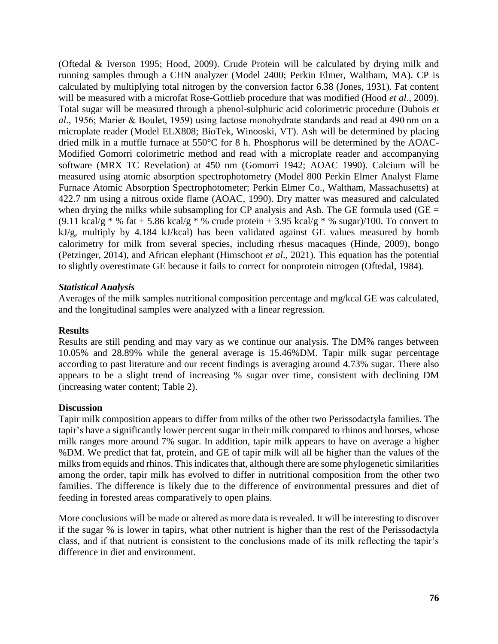(Oftedal & Iverson 1995; Hood, 2009). Crude Protein will be calculated by drying milk and running samples through a CHN analyzer (Model 2400; Perkin Elmer, Waltham, MA). CP is calculated by multiplying total nitrogen by the conversion factor 6.38 (Jones, 1931). Fat content will be measured with a microfat Rose-Gottlieb procedure that was modified (Hood *et al*., 2009). Total sugar will be measured through a phenol-sulphuric acid colorimetric procedure (Dubois *et al*., 1956; Marier & Boulet, 1959) using lactose monohydrate standards and read at 490 nm on a microplate reader (Model ELX808; BioTek, Winooski, VT). Ash will be determined by placing dried milk in a muffle furnace at 550°C for 8 h. Phosphorus will be determined by the AOAC-Modified Gomorri colorimetric method and read with a microplate reader and accompanying software (MRX TC Revelation) at 450 nm (Gomorri 1942; AOAC 1990). Calcium will be measured using atomic absorption spectrophotometry (Model 800 Perkin Elmer Analyst Flame Furnace Atomic Absorption Spectrophotometer; Perkin Elmer Co., Waltham, Massachusetts) at 422.7 nm using a nitrous oxide flame (AOAC, 1990). Dry matter was measured and calculated when drying the milks while subsampling for CP analysis and Ash. The GE formula used (GE  $=$ (9.11 kcal/g  $*$  % fat + 5.86 kcal/g  $*$  % crude protein + 3.95 kcal/g  $*$  % sugar)/100. To convert to kJ/g, multiply by 4.184 kJ/kcal) has been validated against GE values measured by bomb calorimetry for milk from several species, including rhesus macaques (Hinde, 2009), bongo (Petzinger, 2014), and African elephant (Himschoot *et al*., 2021). This equation has the potential to slightly overestimate GE because it fails to correct for nonprotein nitrogen (Oftedal, 1984).

## *Statistical Analysis*

Averages of the milk samples nutritional composition percentage and mg/kcal GE was calculated, and the longitudinal samples were analyzed with a linear regression.

## **Results**

Results are still pending and may vary as we continue our analysis. The DM% ranges between 10.05% and 28.89% while the general average is 15.46%DM. Tapir milk sugar percentage according to past literature and our recent findings is averaging around 4.73% sugar. There also appears to be a slight trend of increasing % sugar over time, consistent with declining DM (increasing water content; Table 2).

## **Discussion**

Tapir milk composition appears to differ from milks of the other two Perissodactyla families. The tapir's have a significantly lower percent sugar in their milk compared to rhinos and horses, whose milk ranges more around 7% sugar. In addition, tapir milk appears to have on average a higher %DM. We predict that fat, protein, and GE of tapir milk will all be higher than the values of the milks from equids and rhinos. This indicates that, although there are some phylogenetic similarities among the order, tapir milk has evolved to differ in nutritional composition from the other two families. The difference is likely due to the difference of environmental pressures and diet of feeding in forested areas comparatively to open plains.

More conclusions will be made or altered as more data is revealed. It will be interesting to discover if the sugar % is lower in tapirs, what other nutrient is higher than the rest of the Perissodactyla class, and if that nutrient is consistent to the conclusions made of its milk reflecting the tapir's difference in diet and environment.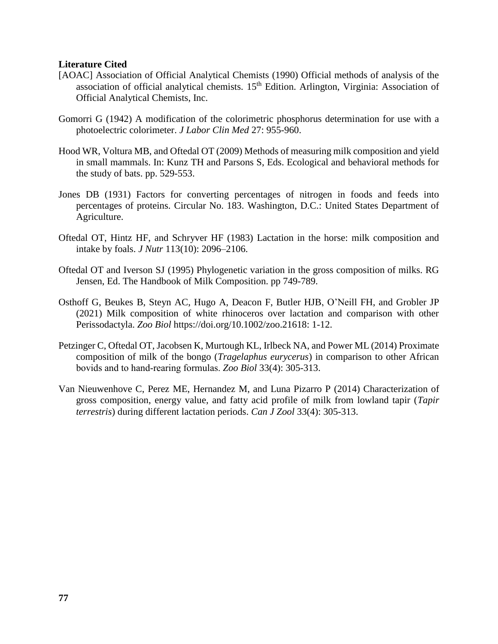## **Literature Cited**

- [AOAC] Association of Official Analytical Chemists (1990) Official methods of analysis of the association of official analytical chemists.  $15<sup>th</sup>$  Edition. Arlington, Virginia: Association of Official Analytical Chemists, Inc.
- Gomorri G (1942) A modification of the colorimetric phosphorus determination for use with a photoelectric colorimeter. *J Labor Clin Med* 27: 955-960.
- Hood WR, Voltura MB, and Oftedal OT (2009) Methods of measuring milk composition and yield in small mammals. In: Kunz TH and Parsons S, Eds. Ecological and behavioral methods for the study of bats. pp. 529-553.
- Jones DB (1931) Factors for converting percentages of nitrogen in foods and feeds into percentages of proteins. Circular No. 183. Washington, D.C.: United States Department of Agriculture.
- Oftedal OT, Hintz HF, and Schryver HF (1983) Lactation in the horse: milk composition and intake by foals. *J Nutr* 113(10): 2096–2106.
- Oftedal OT and Iverson SJ (1995) Phylogenetic variation in the gross composition of milks. RG Jensen, Ed. The Handbook of Milk Composition. pp 749-789.
- Osthoff G, Beukes B, Steyn AC, Hugo A, Deacon F, Butler HJB, O'Neill FH, and Grobler JP (2021) Milk composition of white rhinoceros over lactation and comparison with other Perissodactyla. *Zoo Biol* https://doi.org/10.1002/zoo.21618: 1-12.
- Petzinger C, Oftedal OT, Jacobsen K, Murtough KL, Irlbeck NA, and Power ML (2014) Proximate composition of milk of the bongo (*Tragelaphus eurycerus*) in comparison to other African bovids and to hand‐rearing formulas. *Zoo Biol* 33(4): 305-313.
- Van Nieuwenhove C, Perez ME, Hernandez M, and Luna Pizarro P (2014) Characterization of gross composition, energy value, and fatty acid profile of milk from lowland tapir (*Tapir terrestris*) during different lactation periods. *Can J Zool* 33(4): 305-313.